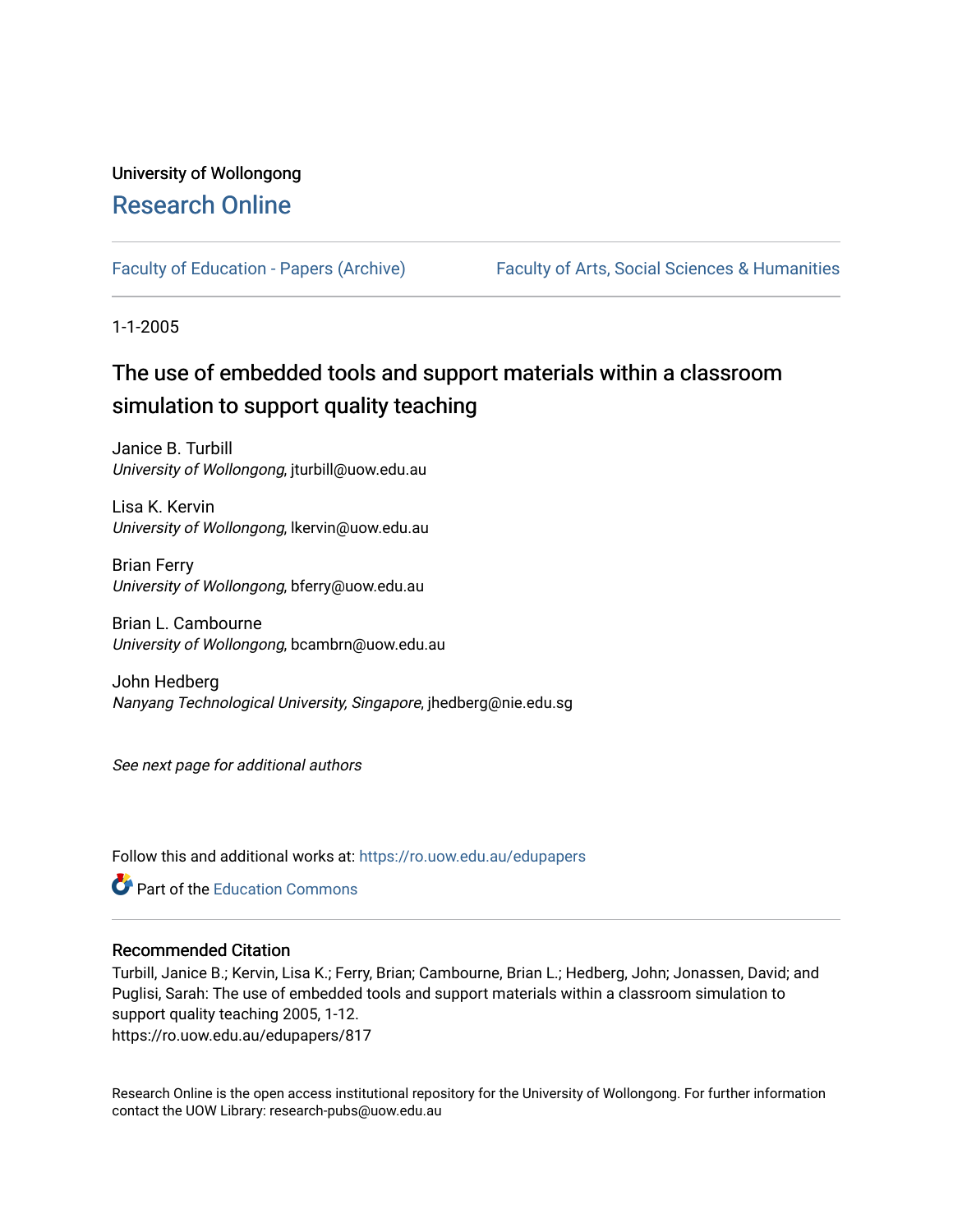## University of Wollongong [Research Online](https://ro.uow.edu.au/)

[Faculty of Education - Papers \(Archive\)](https://ro.uow.edu.au/edupapers) Faculty of Arts, Social Sciences & Humanities

1-1-2005

# The use of embedded tools and support materials within a classroom simulation to support quality teaching

Janice B. Turbill University of Wollongong, jturbill@uow.edu.au

Lisa K. Kervin University of Wollongong, lkervin@uow.edu.au

Brian Ferry University of Wollongong, bferry@uow.edu.au

Brian L. Cambourne University of Wollongong, bcambrn@uow.edu.au

John Hedberg Nanyang Technological University, Singapore, jhedberg@nie.edu.sg

See next page for additional authors

Follow this and additional works at: [https://ro.uow.edu.au/edupapers](https://ro.uow.edu.au/edupapers?utm_source=ro.uow.edu.au%2Fedupapers%2F817&utm_medium=PDF&utm_campaign=PDFCoverPages) 

**Part of the [Education Commons](http://network.bepress.com/hgg/discipline/784?utm_source=ro.uow.edu.au%2Fedupapers%2F817&utm_medium=PDF&utm_campaign=PDFCoverPages)** 

#### Recommended Citation

Turbill, Janice B.; Kervin, Lisa K.; Ferry, Brian; Cambourne, Brian L.; Hedberg, John; Jonassen, David; and Puglisi, Sarah: The use of embedded tools and support materials within a classroom simulation to support quality teaching 2005, 1-12. https://ro.uow.edu.au/edupapers/817

Research Online is the open access institutional repository for the University of Wollongong. For further information contact the UOW Library: research-pubs@uow.edu.au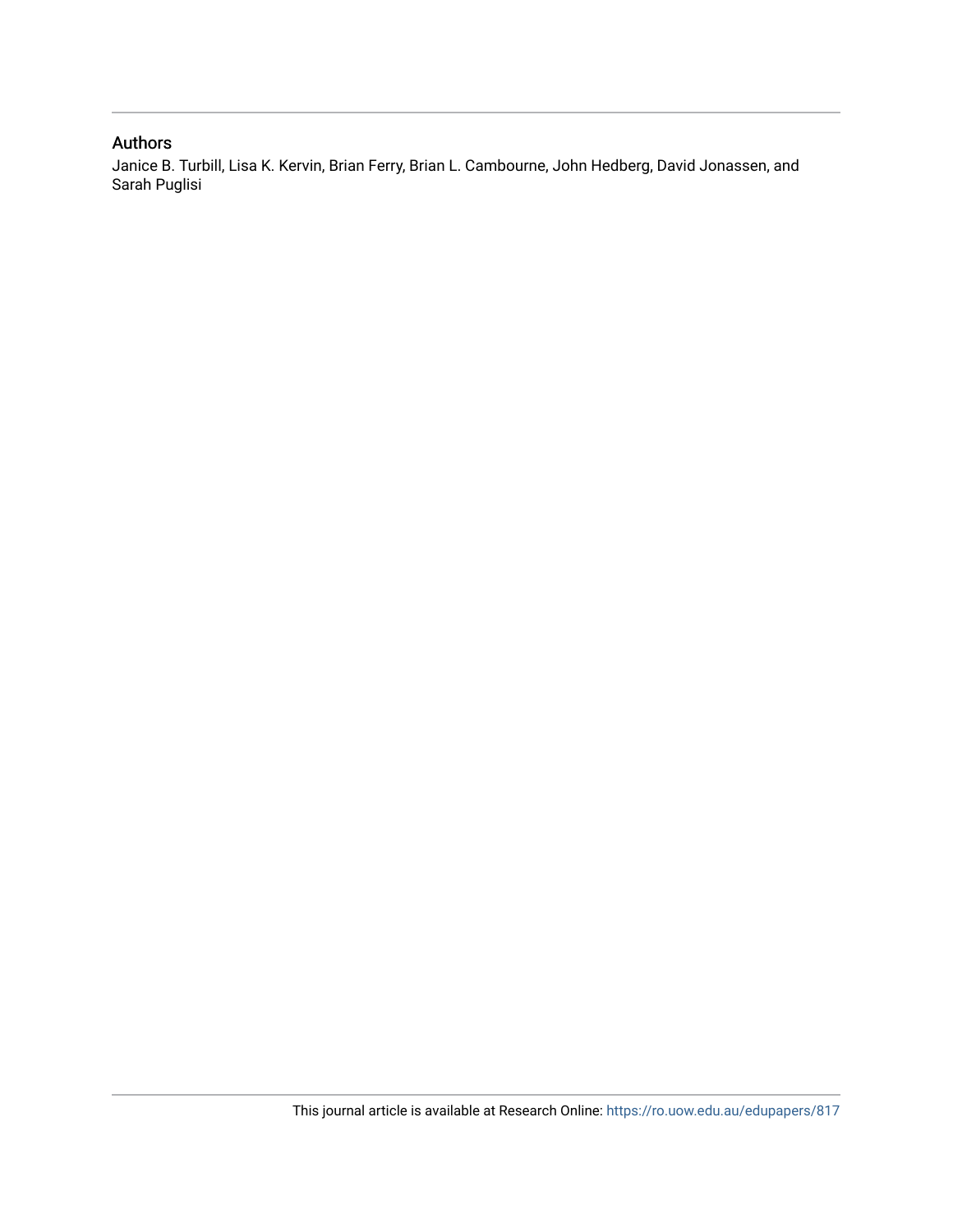### Authors

Janice B. Turbill, Lisa K. Kervin, Brian Ferry, Brian L. Cambourne, John Hedberg, David Jonassen, and Sarah Puglisi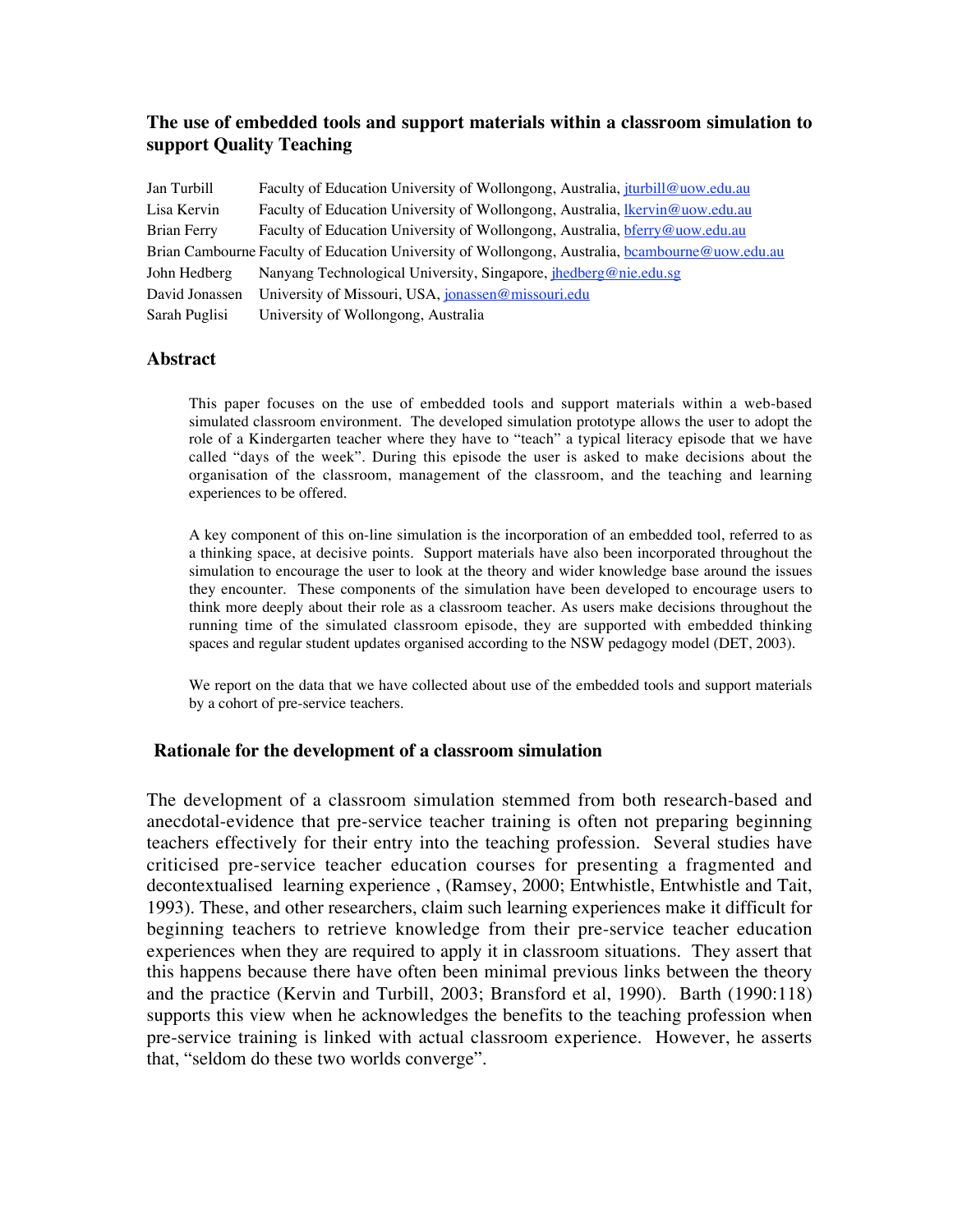#### **The use of embedded tools and support materials within a classroom simulation to support Quality Teaching**

| Jan Turbill                                                                                     | Faculty of Education University of Wollongong, Australia, <i>iturbill@uow.edu.au</i> |  |  |  |  |
|-------------------------------------------------------------------------------------------------|--------------------------------------------------------------------------------------|--|--|--|--|
| Lisa Kervin                                                                                     | Faculty of Education University of Wollongong, Australia, <i>Ikervin@uow.edu.au</i>  |  |  |  |  |
| Brian Ferry                                                                                     | Faculty of Education University of Wollongong, Australia, brandwig uow.edu.au        |  |  |  |  |
| Brian Cambourne Faculty of Education University of Wollongong, Australia, bcambourne@uow.edu.au |                                                                                      |  |  |  |  |
| John Hedberg                                                                                    | Nanyang Technological University, Singapore, <i>jhedberg@nie.edu.sg</i>              |  |  |  |  |
| David Jonassen                                                                                  | University of Missouri, USA, jonassen@missouri.edu                                   |  |  |  |  |
| Sarah Puglisi                                                                                   | University of Wollongong, Australia                                                  |  |  |  |  |

#### **Abstract**

This paper focuses on the use of embedded tools and support materials within a web-based simulated classroom environment. The developed simulation prototype allows the user to adopt the role of a Kindergarten teacher where they have to "teach" a typical literacy episode that we have called "days of the week". During this episode the user is asked to make decisions about the organisation of the classroom, management of the classroom, and the teaching and learning experiences to be offered.

A key component of this on-line simulation is the incorporation of an embedded tool, referred to as a thinking space, at decisive points. Support materials have also been incorporated throughout the simulation to encourage the user to look at the theory and wider knowledge base around the issues they encounter. These components of the simulation have been developed to encourage users to think more deeply about their role as a classroom teacher. As users make decisions throughout the running time of the simulated classroom episode, they are supported with embedded thinking spaces and regular student updates organised according to the NSW pedagogy model (DET, 2003).

We report on the data that we have collected about use of the embedded tools and support materials by a cohort of pre-service teachers.

#### **Rationale for the development of a classroom simulation**

The development of a classroom simulation stemmed from both research-based and anecdotal-evidence that pre-service teacher training is often not preparing beginning teachers effectively for their entry into the teaching profession. Several studies have criticised pre-service teacher education courses for presenting a fragmented and decontextualised learning experience , (Ramsey, 2000; Entwhistle, Entwhistle and Tait, 1993). These, and other researchers, claim such learning experiences make it difficult for beginning teachers to retrieve knowledge from their pre-service teacher education experiences when they are required to apply it in classroom situations. They assert that this happens because there have often been minimal previous links between the theory and the practice (Kervin and Turbill, 2003; Bransford et al, 1990). Barth (1990:118) supports this view when he acknowledges the benefits to the teaching profession when pre-service training is linked with actual classroom experience. However, he asserts that, "seldom do these two worlds converge".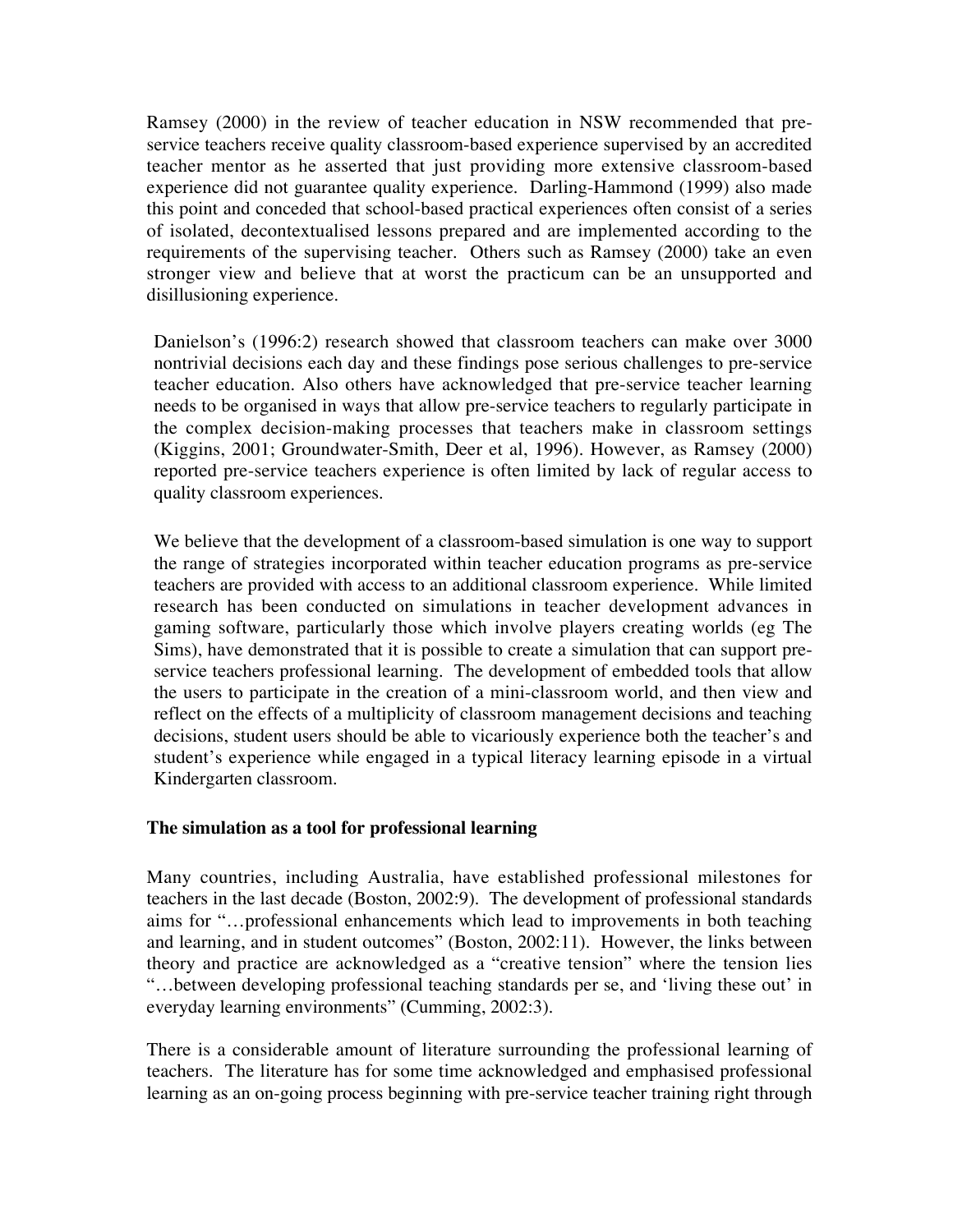Ramsey (2000) in the review of teacher education in NSW recommended that preservice teachers receive quality classroom-based experience supervised by an accredited teacher mentor as he asserted that just providing more extensive classroom-based experience did not guarantee quality experience. Darling-Hammond (1999) also made this point and conceded that school-based practical experiences often consist of a series of isolated, decontextualised lessons prepared and are implemented according to the requirements of the supervising teacher. Others such as Ramsey (2000) take an even stronger view and believe that at worst the practicum can be an unsupported and disillusioning experience.

Danielson's (1996:2) research showed that classroom teachers can make over 3000 nontrivial decisions each day and these findings pose serious challenges to pre-service teacher education. Also others have acknowledged that pre-service teacher learning needs to be organised in ways that allow pre-service teachers to regularly participate in the complex decision-making processes that teachers make in classroom settings (Kiggins, 2001; Groundwater-Smith, Deer et al, 1996). However, as Ramsey (2000) reported pre-service teachers experience is often limited by lack of regular access to quality classroom experiences.

We believe that the development of a classroom-based simulation is one way to support the range of strategies incorporated within teacher education programs as pre-service teachers are provided with access to an additional classroom experience. While limited research has been conducted on simulations in teacher development advances in gaming software, particularly those which involve players creating worlds (eg The Sims), have demonstrated that it is possible to create a simulation that can support preservice teachers professional learning. The development of embedded tools that allow the users to participate in the creation of a mini-classroom world, and then view and reflect on the effects of a multiplicity of classroom management decisions and teaching decisions, student users should be able to vicariously experience both the teacher's and student's experience while engaged in a typical literacy learning episode in a virtual Kindergarten classroom.

#### **The simulation as a tool for professional learning**

Many countries, including Australia, have established professional milestones for teachers in the last decade (Boston, 2002:9). The development of professional standards aims for "…professional enhancements which lead to improvements in both teaching and learning, and in student outcomes" (Boston, 2002:11). However, the links between theory and practice are acknowledged as a "creative tension" where the tension lies "…between developing professional teaching standards per se, and 'living these out' in everyday learning environments" (Cumming, 2002:3).

There is a considerable amount of literature surrounding the professional learning of teachers. The literature has for some time acknowledged and emphasised professional learning as an on-going process beginning with pre-service teacher training right through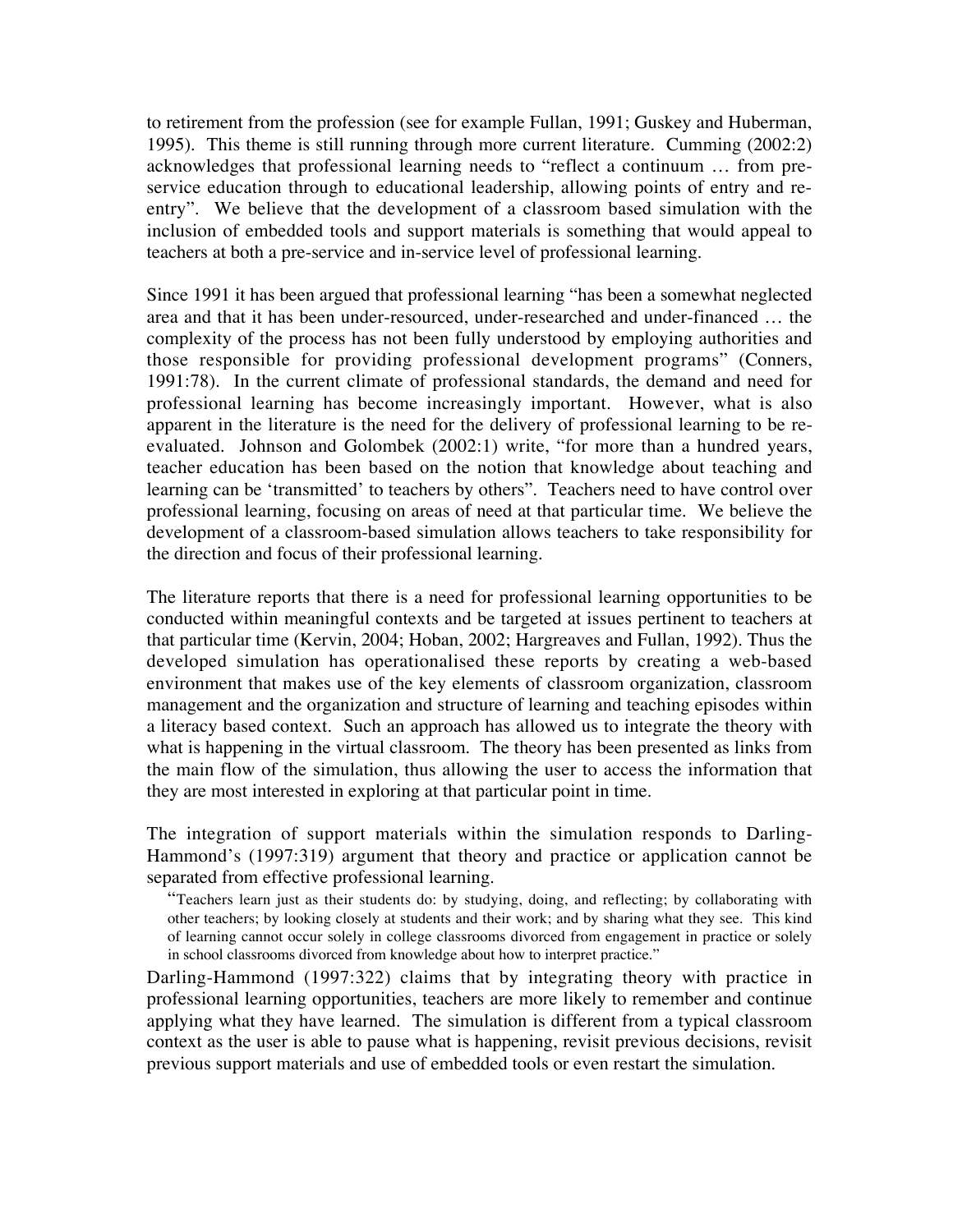to retirement from the profession (see for example Fullan, 1991; Guskey and Huberman, 1995). This theme is still running through more current literature. Cumming (2002:2) acknowledges that professional learning needs to "reflect a continuum … from preservice education through to educational leadership, allowing points of entry and reentry". We believe that the development of a classroom based simulation with the inclusion of embedded tools and support materials is something that would appeal to teachers at both a pre-service and in-service level of professional learning.

Since 1991 it has been argued that professional learning "has been a somewhat neglected area and that it has been under-resourced, under-researched and under-financed … the complexity of the process has not been fully understood by employing authorities and those responsible for providing professional development programs" (Conners, 1991:78). In the current climate of professional standards, the demand and need for professional learning has become increasingly important. However, what is also apparent in the literature is the need for the delivery of professional learning to be reevaluated. Johnson and Golombek (2002:1) write, "for more than a hundred years, teacher education has been based on the notion that knowledge about teaching and learning can be 'transmitted' to teachers by others". Teachers need to have control over professional learning, focusing on areas of need at that particular time. We believe the development of a classroom-based simulation allows teachers to take responsibility for the direction and focus of their professional learning.

The literature reports that there is a need for professional learning opportunities to be conducted within meaningful contexts and be targeted at issues pertinent to teachers at that particular time (Kervin, 2004; Hoban, 2002; Hargreaves and Fullan, 1992). Thus the developed simulation has operationalised these reports by creating a web-based environment that makes use of the key elements of classroom organization, classroom management and the organization and structure of learning and teaching episodes within a literacy based context. Such an approach has allowed us to integrate the theory with what is happening in the virtual classroom. The theory has been presented as links from the main flow of the simulation, thus allowing the user to access the information that they are most interested in exploring at that particular point in time.

The integration of support materials within the simulation responds to Darling-Hammond's (1997:319) argument that theory and practice or application cannot be separated from effective professional learning.

"Teachers learn just as their students do: by studying, doing, and reflecting; by collaborating with other teachers; by looking closely at students and their work; and by sharing what they see. This kind of learning cannot occur solely in college classrooms divorced from engagement in practice or solely in school classrooms divorced from knowledge about how to interpret practice."

Darling-Hammond (1997:322) claims that by integrating theory with practice in professional learning opportunities, teachers are more likely to remember and continue applying what they have learned. The simulation is different from a typical classroom context as the user is able to pause what is happening, revisit previous decisions, revisit previous support materials and use of embedded tools or even restart the simulation.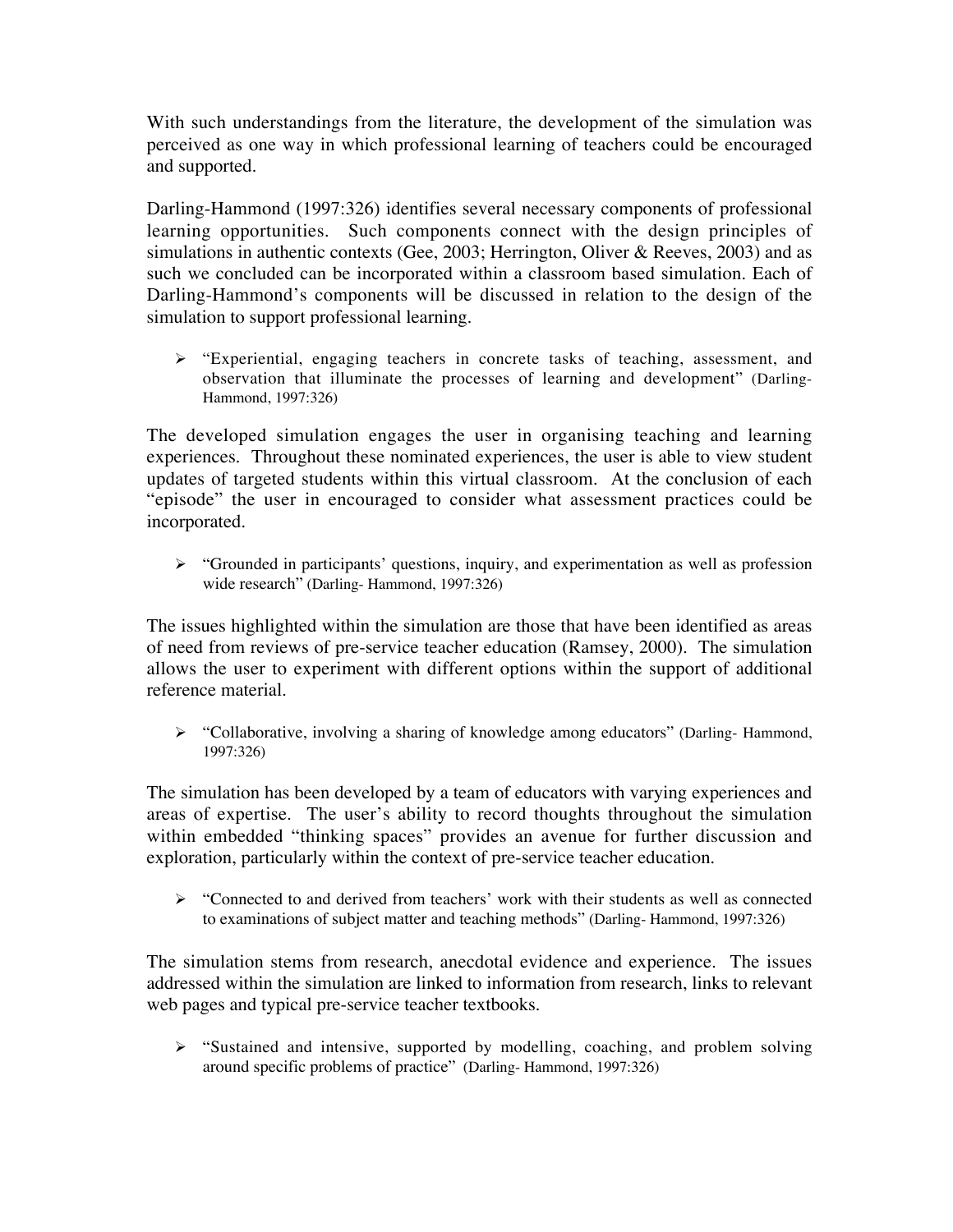With such understandings from the literature, the development of the simulation was perceived as one way in which professional learning of teachers could be encouraged and supported.

Darling-Hammond (1997:326) identifies several necessary components of professional learning opportunities. Such components connect with the design principles of simulations in authentic contexts (Gee, 2003; Herrington, Oliver & Reeves, 2003) and as such we concluded can be incorporated within a classroom based simulation. Each of Darling-Hammond's components will be discussed in relation to the design of the simulation to support professional learning.

> "Experiential, engaging teachers in concrete tasks of teaching, assessment, and observation that illuminate the processes of learning and development" (Darling-Hammond, 1997:326)

The developed simulation engages the user in organising teaching and learning experiences. Throughout these nominated experiences, the user is able to view student updates of targeted students within this virtual classroom. At the conclusion of each "episode" the user in encouraged to consider what assessment practices could be incorporated.

S "Grounded in participants' questions, inquiry, and experimentation as well as profession wide research" (Darling- Hammond, 1997:326)

The issues highlighted within the simulation are those that have been identified as areas of need from reviews of pre-service teacher education (Ramsey, 2000). The simulation allows the user to experiment with different options within the support of additional reference material.

 "Collaborative, involving a sharing of knowledge among educators" (Darling- Hammond, 1997:326)

The simulation has been developed by a team of educators with varying experiences and areas of expertise. The user's ability to record thoughts throughout the simulation within embedded "thinking spaces" provides an avenue for further discussion and exploration, particularly within the context of pre-service teacher education.

 $\triangleright$  "Connected to and derived from teachers' work with their students as well as connected to examinations of subject matter and teaching methods" (Darling- Hammond, 1997:326)

The simulation stems from research, anecdotal evidence and experience. The issues addressed within the simulation are linked to information from research, links to relevant web pages and typical pre-service teacher textbooks.

Sustained and intensive, supported by modelling, coaching, and problem solving around specific problems of practice" (Darling- Hammond, 1997:326)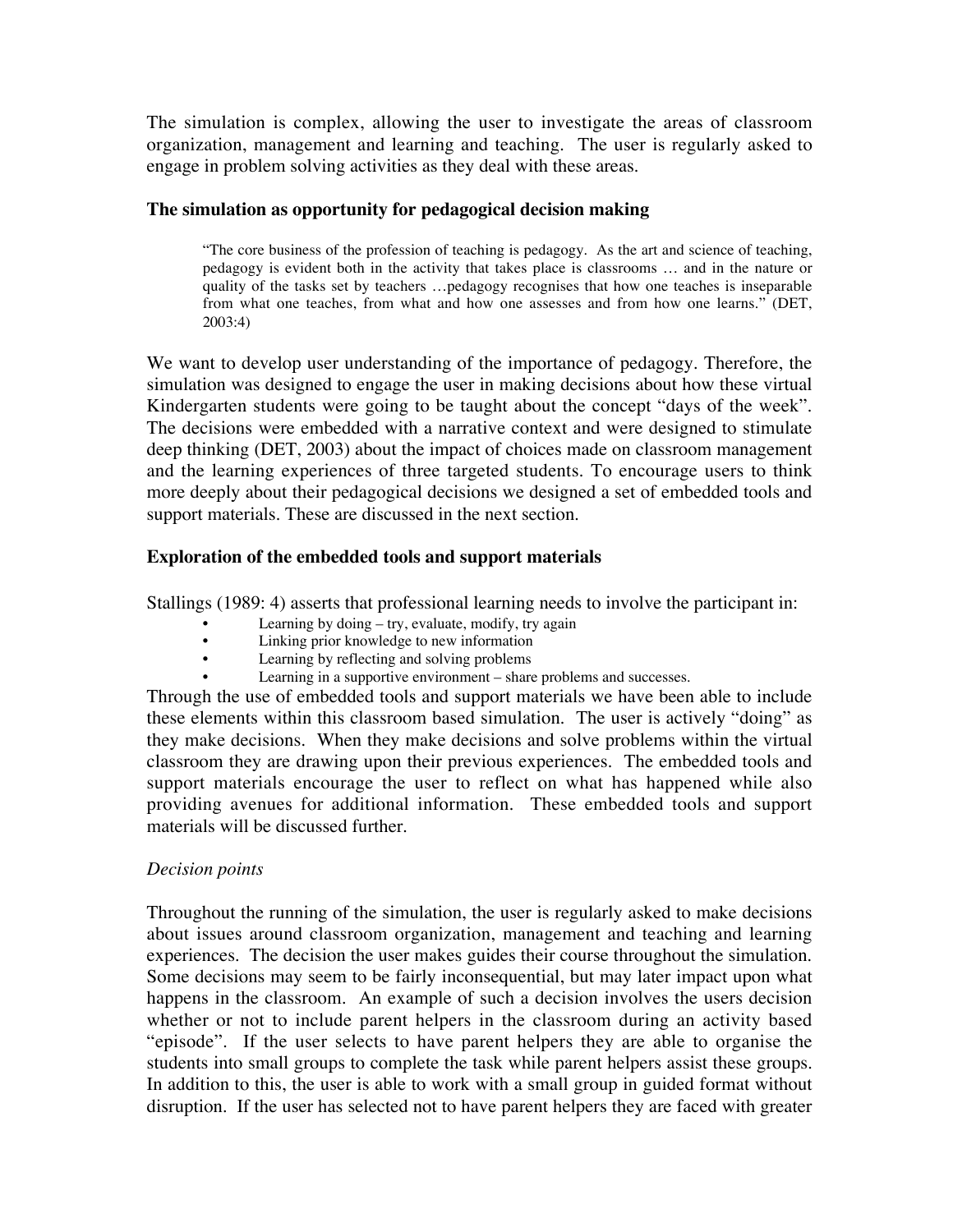The simulation is complex, allowing the user to investigate the areas of classroom organization, management and learning and teaching. The user is regularly asked to engage in problem solving activities as they deal with these areas.

#### **The simulation as opportunity for pedagogical decision making**

"The core business of the profession of teaching is pedagogy. As the art and science of teaching, pedagogy is evident both in the activity that takes place is classrooms … and in the nature or quality of the tasks set by teachers …pedagogy recognises that how one teaches is inseparable from what one teaches, from what and how one assesses and from how one learns." (DET, 2003:4)

We want to develop user understanding of the importance of pedagogy. Therefore, the simulation was designed to engage the user in making decisions about how these virtual Kindergarten students were going to be taught about the concept "days of the week". The decisions were embedded with a narrative context and were designed to stimulate deep thinking (DET, 2003) about the impact of choices made on classroom management and the learning experiences of three targeted students. To encourage users to think more deeply about their pedagogical decisions we designed a set of embedded tools and support materials. These are discussed in the next section.

#### **Exploration of the embedded tools and support materials**

Stallings (1989: 4) asserts that professional learning needs to involve the participant in:

- Learning by doing  $-$  try, evaluate, modify, try again
- Linking prior knowledge to new information
- Learning by reflecting and solving problems
- Learning in a supportive environment share problems and successes.

Through the use of embedded tools and support materials we have been able to include these elements within this classroom based simulation. The user is actively "doing" as they make decisions. When they make decisions and solve problems within the virtual classroom they are drawing upon their previous experiences. The embedded tools and support materials encourage the user to reflect on what has happened while also providing avenues for additional information. These embedded tools and support materials will be discussed further.

#### *Decision points*

Throughout the running of the simulation, the user is regularly asked to make decisions about issues around classroom organization, management and teaching and learning experiences. The decision the user makes guides their course throughout the simulation. Some decisions may seem to be fairly inconsequential, but may later impact upon what happens in the classroom. An example of such a decision involves the users decision whether or not to include parent helpers in the classroom during an activity based "episode". If the user selects to have parent helpers they are able to organise the students into small groups to complete the task while parent helpers assist these groups. In addition to this, the user is able to work with a small group in guided format without disruption. If the user has selected not to have parent helpers they are faced with greater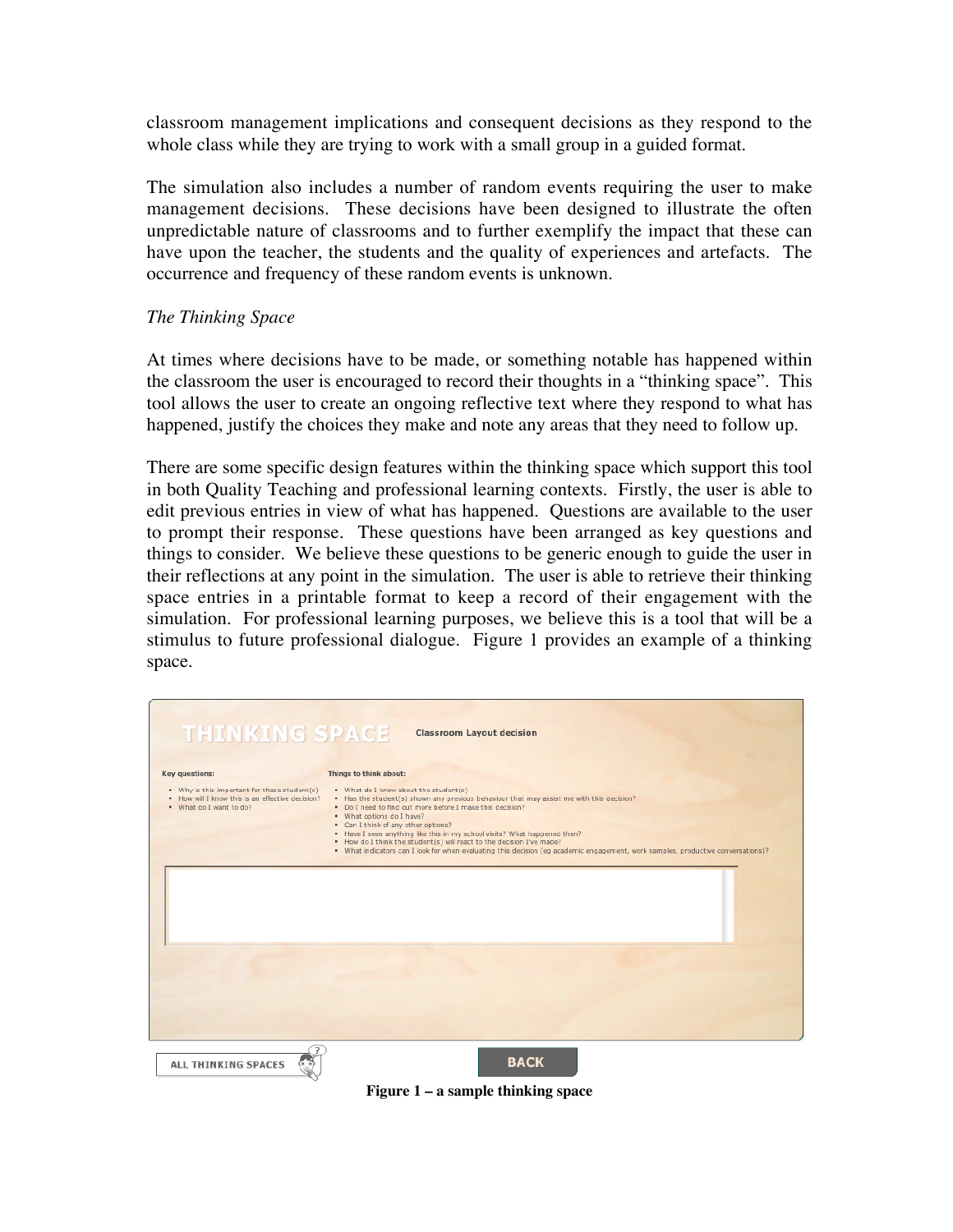classroom management implications and consequent decisions as they respond to the whole class while they are trying to work with a small group in a guided format.

The simulation also includes a number of random events requiring the user to make management decisions. These decisions have been designed to illustrate the often unpredictable nature of classrooms and to further exemplify the impact that these can have upon the teacher, the students and the quality of experiences and artefacts. The occurrence and frequency of these random events is unknown.

#### *The Thinking Space*

At times where decisions have to be made, or something notable has happened within the classroom the user is encouraged to record their thoughts in a "thinking space". This tool allows the user to create an ongoing reflective text where they respond to what has happened, justify the choices they make and note any areas that they need to follow up.

There are some specific design features within the thinking space which support this tool in both Quality Teaching and professional learning contexts. Firstly, the user is able to edit previous entries in view of what has happened. Questions are available to the user to prompt their response. These questions have been arranged as key questions and things to consider. We believe these questions to be generic enough to guide the user in their reflections at any point in the simulation. The user is able to retrieve their thinking space entries in a printable format to keep a record of their engagement with the simulation. For professional learning purposes, we believe this is a tool that will be a stimulus to future professional dialogue. Figure 1 provides an example of a thinking space.

| Key questions:                                                                                                              | Things to think about:                                                                                                                                                                                                                                                                                                                                                                                                                                                                                                                                       |
|-----------------------------------------------------------------------------------------------------------------------------|--------------------------------------------------------------------------------------------------------------------------------------------------------------------------------------------------------------------------------------------------------------------------------------------------------------------------------------------------------------------------------------------------------------------------------------------------------------------------------------------------------------------------------------------------------------|
| . Why is this important for these student(s)<br>. How will I know this is an effective decision?<br>. What do I want to do? | . What do I know about the student(s)<br>. Has the student(s) shown any previous behaviour that may assist me with this decision?<br>. Do I need to find out more before I make this decision?<br>. What options do I have?<br>• Can I think of any other options?<br>. Have I seen anything like this in my school visits? What happened then?<br>. How do I think the student(s) will react to the decision I've made?<br>. What indicators can I look for when evaluating this decision (eg academic engagement, work samples, productive conversations)? |
|                                                                                                                             |                                                                                                                                                                                                                                                                                                                                                                                                                                                                                                                                                              |
|                                                                                                                             |                                                                                                                                                                                                                                                                                                                                                                                                                                                                                                                                                              |

**Figure 1 – a sample thinking space**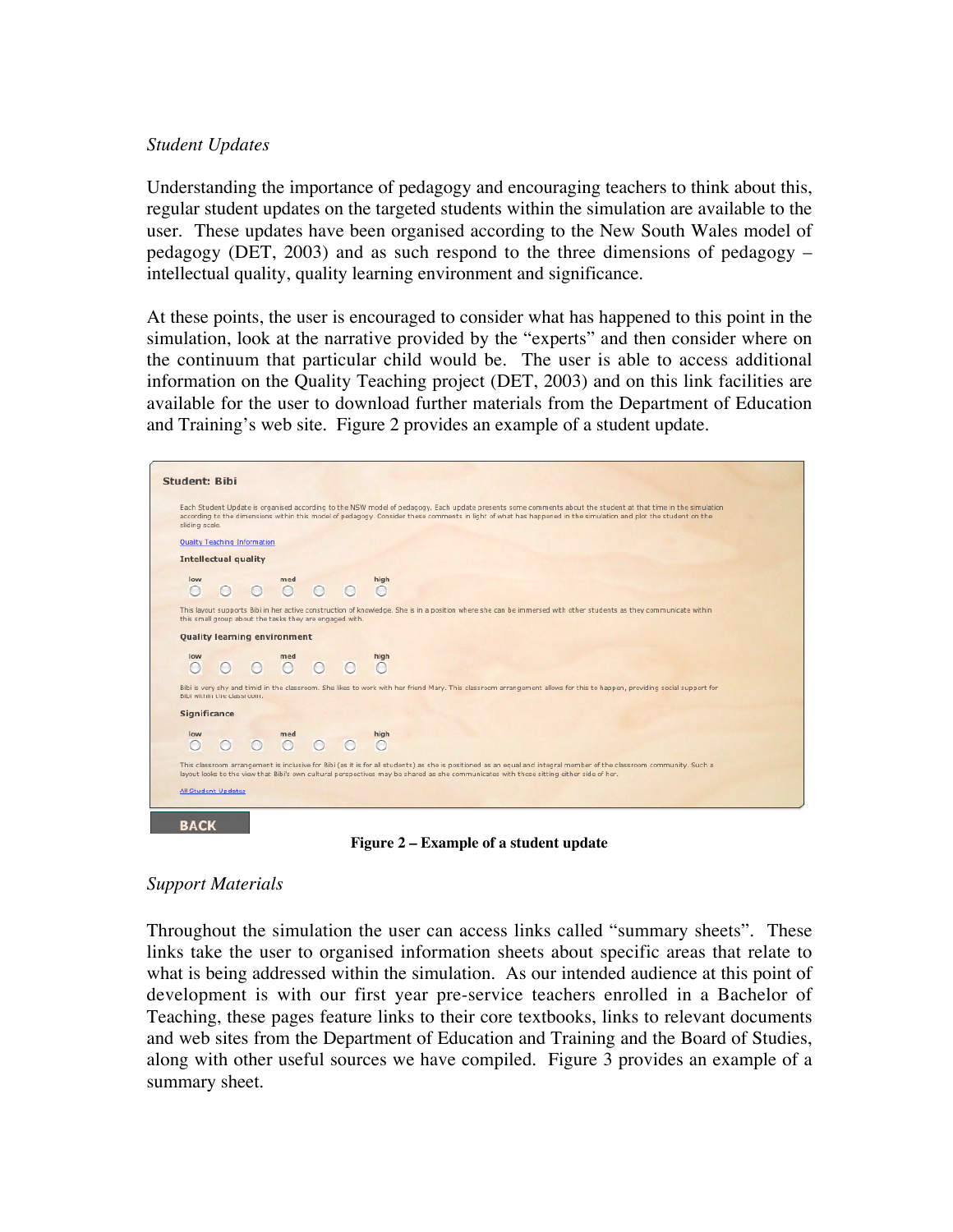#### *Student Updates*

Understanding the importance of pedagogy and encouraging teachers to think about this, regular student updates on the targeted students within the simulation are available to the user. These updates have been organised according to the New South Wales model of pedagogy (DET, 2003) and as such respond to the three dimensions of pedagogy – intellectual quality, quality learning environment and significance.

At these points, the user is encouraged to consider what has happened to this point in the simulation, look at the narrative provided by the "experts" and then consider where on the continuum that particular child would be. The user is able to access additional information on the Quality Teaching project (DET, 2003) and on this link facilities are available for the user to download further materials from the Department of Education and Training's web site. Figure 2 provides an example of a student update.

| <b>Student: Bibi</b> |                                                                                                                                                                                                                                                                                                                                                  |           |         |                                     |     |  |                |  |  |
|----------------------|--------------------------------------------------------------------------------------------------------------------------------------------------------------------------------------------------------------------------------------------------------------------------------------------------------------------------------------------------|-----------|---------|-------------------------------------|-----|--|----------------|--|--|
|                      | Each Student Update is organised according to the NSW model of pedagogy. Each update presents some comments about the student at that time in the simulation<br>according to the dimensions within this model of pedagogy. Consider these comments in light of what has happened in the simulation and plot the student on the<br>sliding scale. |           |         |                                     |     |  |                |  |  |
|                      | Quality Teaching Information                                                                                                                                                                                                                                                                                                                     |           |         |                                     |     |  |                |  |  |
|                      | <b>Intellectual quality</b>                                                                                                                                                                                                                                                                                                                      |           |         |                                     |     |  |                |  |  |
|                      | low<br>∩                                                                                                                                                                                                                                                                                                                                         | $\cap$    | $\circ$ | med                                 | 000 |  | high<br>$\cap$ |  |  |
|                      | This layout supports Bibi in her active construction of knowledge. She is in a position where she can be immersed with other students as they communicate within<br>this small group about the tasks they are engaged with.                                                                                                                      |           |         |                                     |     |  |                |  |  |
|                      |                                                                                                                                                                                                                                                                                                                                                  |           |         | <b>Quality learning environment</b> |     |  |                |  |  |
|                      | low<br>∩                                                                                                                                                                                                                                                                                                                                         | $\bigcap$ | $\circ$ | med                                 | 000 |  | high<br>$\cap$ |  |  |
|                      | Bibi is very shy and timid in the classroom. She likes to work with her friend Mary. This classroom arrangement allows for this to happen, providing social support for<br>Bibi within the classroom.                                                                                                                                            |           |         |                                     |     |  |                |  |  |
|                      | Significance                                                                                                                                                                                                                                                                                                                                     |           |         |                                     |     |  |                |  |  |
|                      | low<br>∩                                                                                                                                                                                                                                                                                                                                         | $\bigcap$ | $\circ$ | med                                 | 00  |  | high<br>$\cap$ |  |  |
|                      | This classroom arrangement is inclusive for Bibi (as it is for all students) as she is positioned as an equal and integral member of the classroom community. Such a<br>layout looks to the view that Bibi's own cultural perspectives may be shared as she communicates with those sitting either side of her.                                  |           |         |                                     |     |  |                |  |  |
|                      | <b>All Student Updates</b>                                                                                                                                                                                                                                                                                                                       |           |         |                                     |     |  |                |  |  |
|                      |                                                                                                                                                                                                                                                                                                                                                  |           |         |                                     |     |  |                |  |  |

**Figure 2 – Example of a student update**

#### *Support Materials*

**BACK** 

Throughout the simulation the user can access links called "summary sheets". These links take the user to organised information sheets about specific areas that relate to what is being addressed within the simulation. As our intended audience at this point of development is with our first year pre-service teachers enrolled in a Bachelor of Teaching, these pages feature links to their core textbooks, links to relevant documents and web sites from the Department of Education and Training and the Board of Studies, along with other useful sources we have compiled. Figure 3 provides an example of a summary sheet.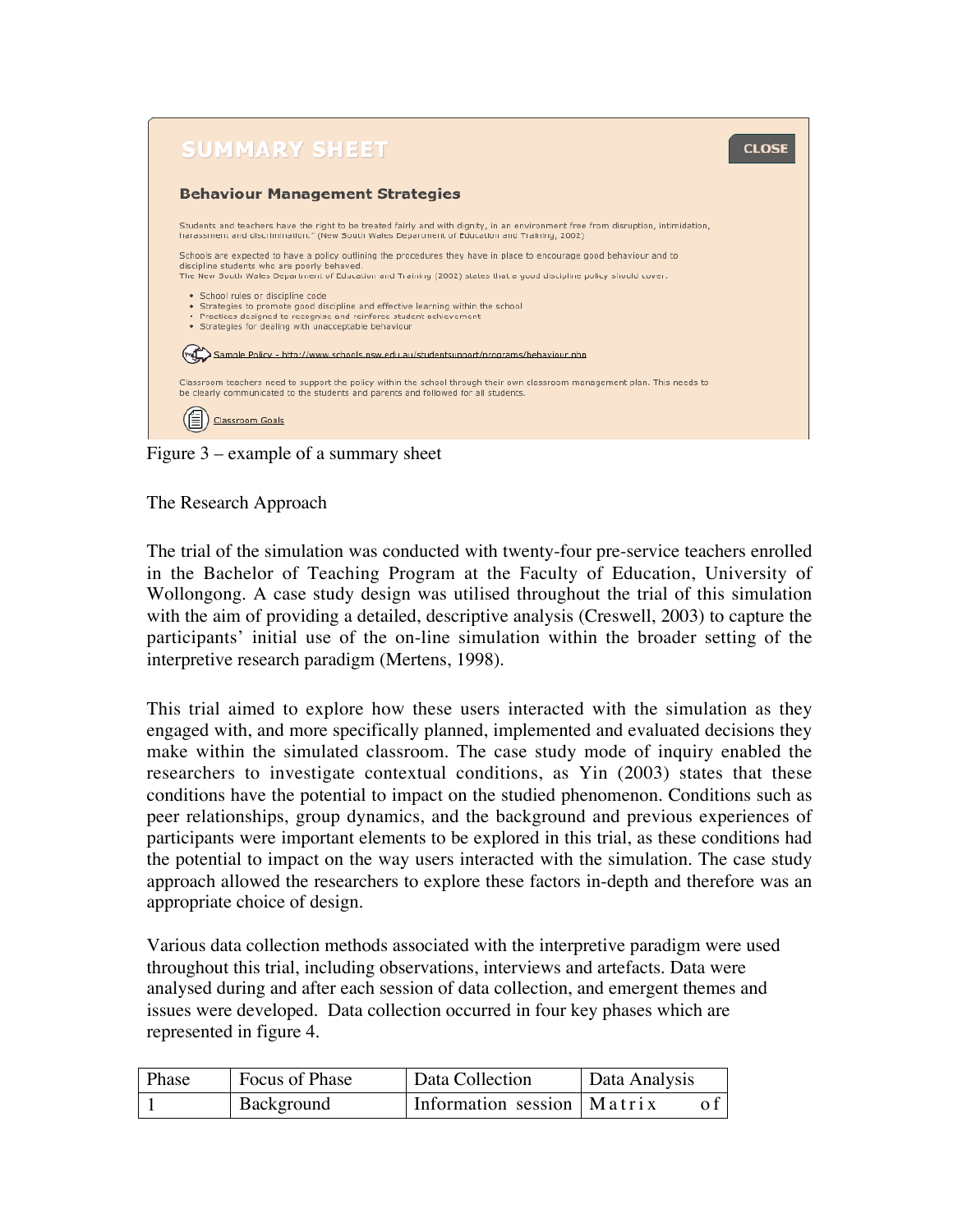

Figure 3 – example of a summary sheet

The Research Approach

The trial of the simulation was conducted with twenty-four pre-service teachers enrolled in the Bachelor of Teaching Program at the Faculty of Education, University of Wollongong. A case study design was utilised throughout the trial of this simulation with the aim of providing a detailed, descriptive analysis (Creswell, 2003) to capture the participants' initial use of the on-line simulation within the broader setting of the interpretive research paradigm (Mertens, 1998).

This trial aimed to explore how these users interacted with the simulation as they engaged with, and more specifically planned, implemented and evaluated decisions they make within the simulated classroom. The case study mode of inquiry enabled the researchers to investigate contextual conditions, as Yin (2003) states that these conditions have the potential to impact on the studied phenomenon. Conditions such as peer relationships, group dynamics, and the background and previous experiences of participants were important elements to be explored in this trial, as these conditions had the potential to impact on the way users interacted with the simulation. The case study approach allowed the researchers to explore these factors in-depth and therefore was an appropriate choice of design.

Various data collection methods associated with the interpretive paradigm were used throughout this trial, including observations, interviews and artefacts. Data were analysed during and after each session of data collection, and emergent themes and issues were developed. Data collection occurred in four key phases which are represented in figure 4.

| Phase | Focus of Phase | <sup>1</sup> Data Collection | Data Analysis |
|-------|----------------|------------------------------|---------------|
|       | Background     | Information session   Matrix |               |
|       |                |                              |               |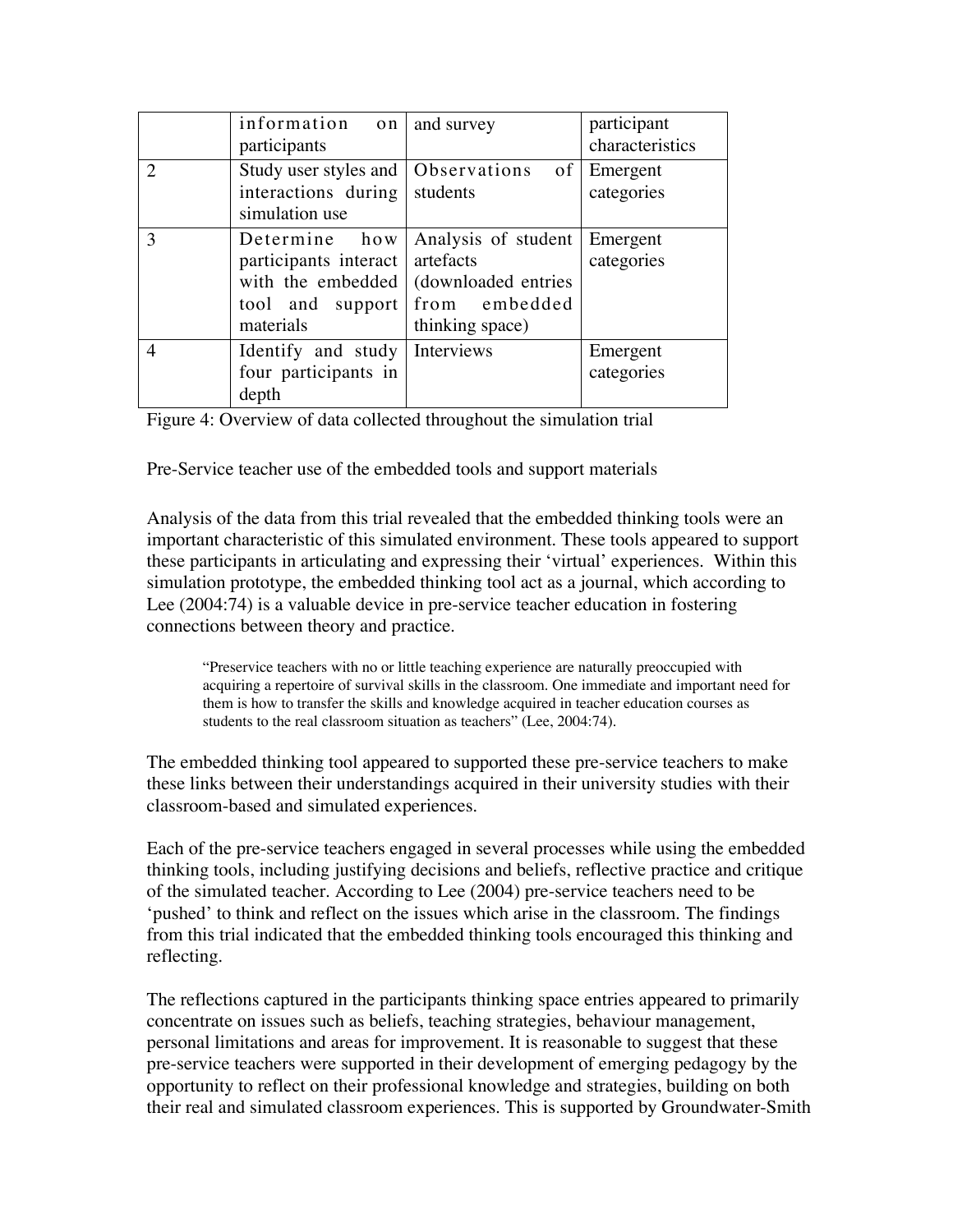|                             | information on<br>participants                                          | and survey                                                                                                    | participant<br>characteristics |
|-----------------------------|-------------------------------------------------------------------------|---------------------------------------------------------------------------------------------------------------|--------------------------------|
| $\mathcal{D}_{\mathcal{L}}$ | interactions during<br>simulation use                                   | Study user styles and   Observations of  <br>students                                                         | Emergent<br>categories         |
| $\mathcal{R}$               | Determine how<br>participants interact<br>tool and support<br>materials | Analysis of student<br>artefacts<br>with the embedded (downloaded entries<br>from embedded<br>thinking space) | Emergent<br>categories         |
| 4                           | Identify and study<br>four participants in<br>depth                     | Interviews                                                                                                    | Emergent<br>categories         |

Figure 4: Overview of data collected throughout the simulation trial

Pre-Service teacher use of the embedded tools and support materials

Analysis of the data from this trial revealed that the embedded thinking tools were an important characteristic of this simulated environment. These tools appeared to support these participants in articulating and expressing their 'virtual' experiences. Within this simulation prototype, the embedded thinking tool act as a journal, which according to Lee (2004:74) is a valuable device in pre-service teacher education in fostering connections between theory and practice.

"Preservice teachers with no or little teaching experience are naturally preoccupied with acquiring a repertoire of survival skills in the classroom. One immediate and important need for them is how to transfer the skills and knowledge acquired in teacher education courses as students to the real classroom situation as teachers" (Lee, 2004:74).

The embedded thinking tool appeared to supported these pre-service teachers to make these links between their understandings acquired in their university studies with their classroom-based and simulated experiences.

Each of the pre-service teachers engaged in several processes while using the embedded thinking tools, including justifying decisions and beliefs, reflective practice and critique of the simulated teacher. According to Lee (2004) pre-service teachers need to be 'pushed' to think and reflect on the issues which arise in the classroom. The findings from this trial indicated that the embedded thinking tools encouraged this thinking and reflecting.

The reflections captured in the participants thinking space entries appeared to primarily concentrate on issues such as beliefs, teaching strategies, behaviour management, personal limitations and areas for improvement. It is reasonable to suggest that these pre-service teachers were supported in their development of emerging pedagogy by the opportunity to reflect on their professional knowledge and strategies, building on both their real and simulated classroom experiences. This is supported by Groundwater-Smith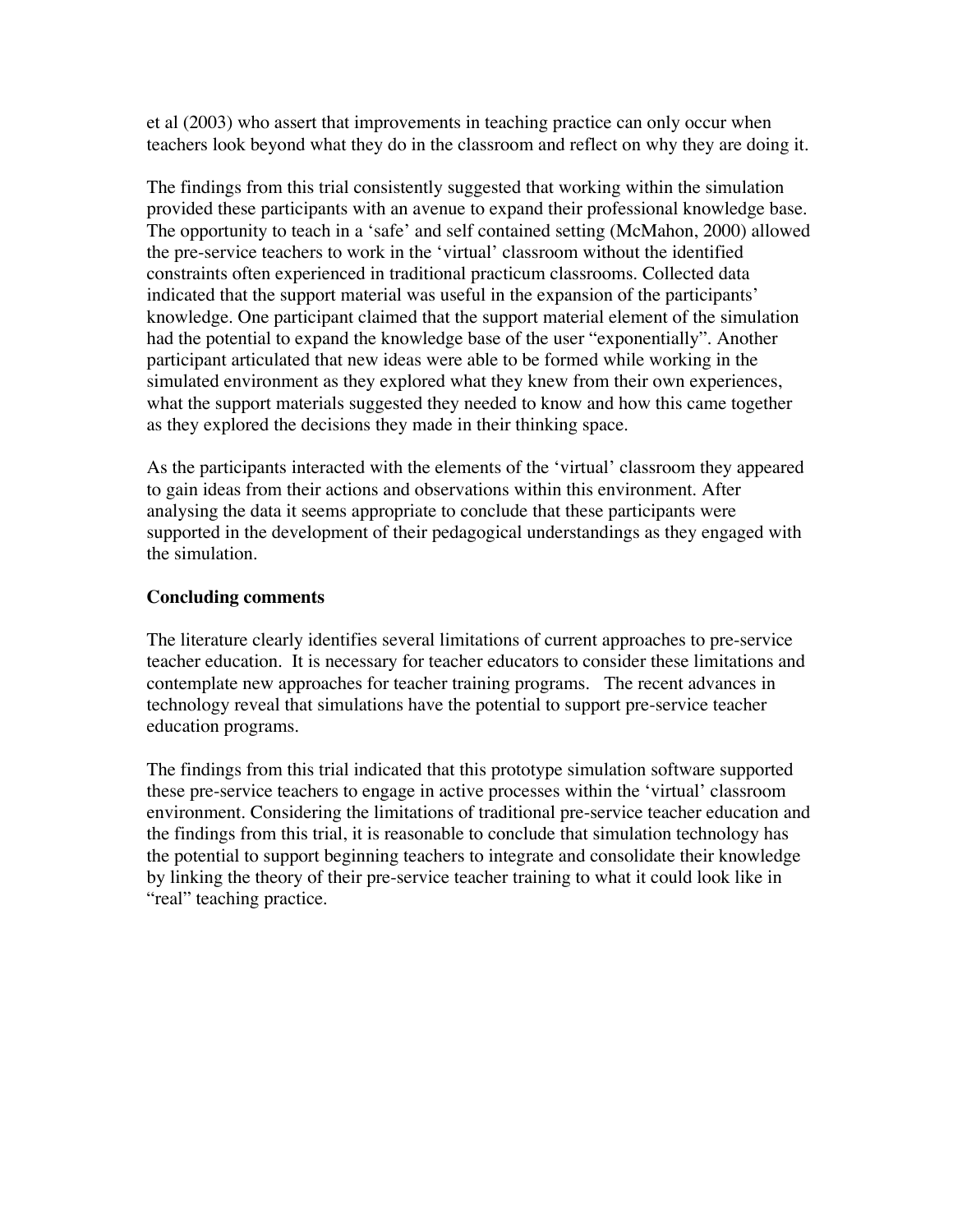et al (2003) who assert that improvements in teaching practice can only occur when teachers look beyond what they do in the classroom and reflect on why they are doing it.

The findings from this trial consistently suggested that working within the simulation provided these participants with an avenue to expand their professional knowledge base. The opportunity to teach in a 'safe' and self contained setting (McMahon, 2000) allowed the pre-service teachers to work in the 'virtual' classroom without the identified constraints often experienced in traditional practicum classrooms. Collected data indicated that the support material was useful in the expansion of the participants' knowledge. One participant claimed that the support material element of the simulation had the potential to expand the knowledge base of the user "exponentially". Another participant articulated that new ideas were able to be formed while working in the simulated environment as they explored what they knew from their own experiences, what the support materials suggested they needed to know and how this came together as they explored the decisions they made in their thinking space.

As the participants interacted with the elements of the 'virtual' classroom they appeared to gain ideas from their actions and observations within this environment. After analysing the data it seems appropriate to conclude that these participants were supported in the development of their pedagogical understandings as they engaged with the simulation.

#### **Concluding comments**

The literature clearly identifies several limitations of current approaches to pre-service teacher education. It is necessary for teacher educators to consider these limitations and contemplate new approaches for teacher training programs. The recent advances in technology reveal that simulations have the potential to support pre-service teacher education programs.

The findings from this trial indicated that this prototype simulation software supported these pre-service teachers to engage in active processes within the 'virtual' classroom environment. Considering the limitations of traditional pre-service teacher education and the findings from this trial, it is reasonable to conclude that simulation technology has the potential to support beginning teachers to integrate and consolidate their knowledge by linking the theory of their pre-service teacher training to what it could look like in "real" teaching practice.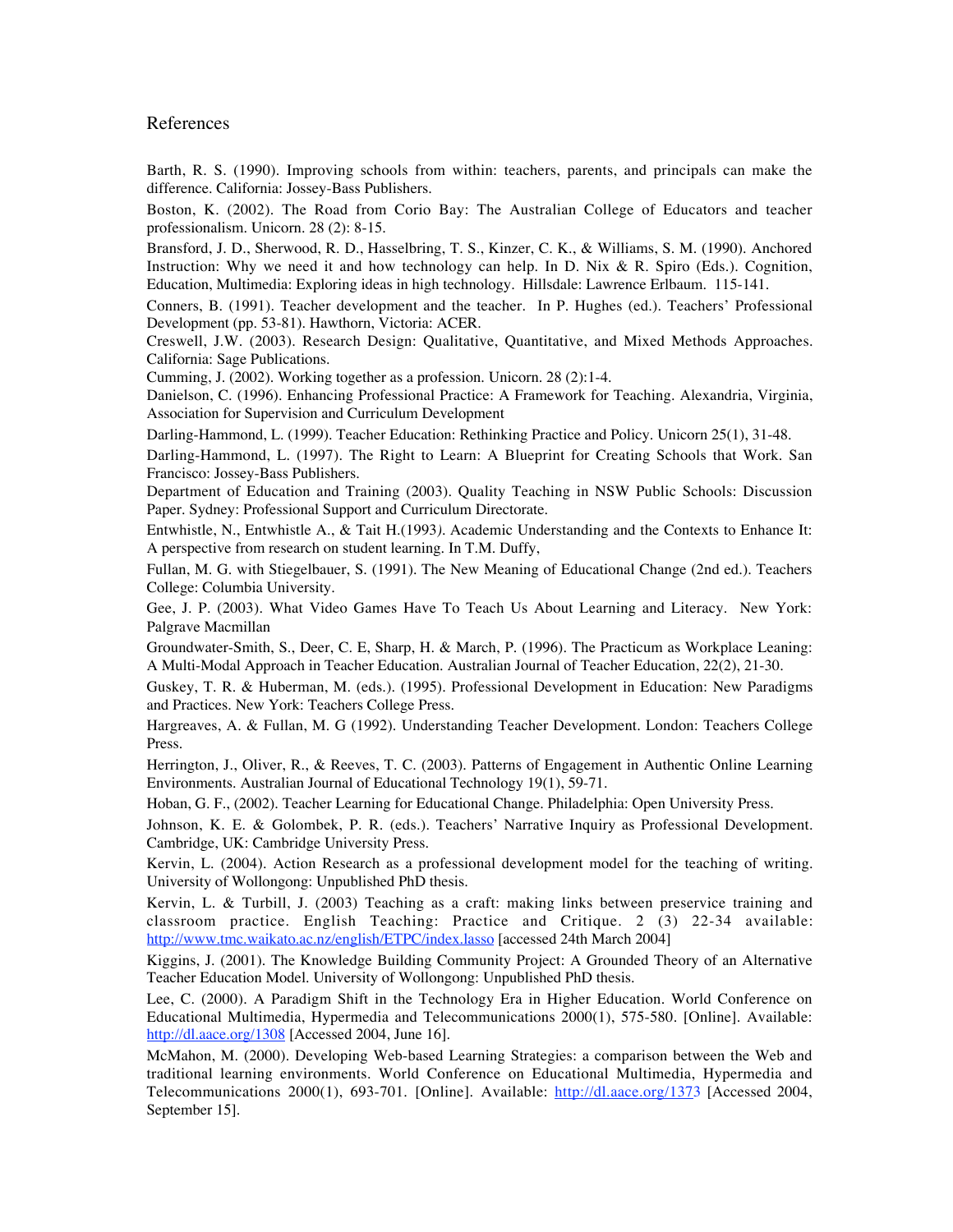#### References

Barth, R. S. (1990). Improving schools from within: teachers, parents, and principals can make the difference. California: Jossey-Bass Publishers.

Boston, K. (2002). The Road from Corio Bay: The Australian College of Educators and teacher professionalism. Unicorn. 28 (2): 8-15.

Bransford, J. D., Sherwood, R. D., Hasselbring, T. S., Kinzer, C. K., & Williams, S. M. (1990). Anchored Instruction: Why we need it and how technology can help. In D. Nix & R. Spiro (Eds.). Cognition, Education, Multimedia: Exploring ideas in high technology. Hillsdale: Lawrence Erlbaum. 115-141.

Conners, B. (1991). Teacher development and the teacher. In P. Hughes (ed.). Teachers' Professional Development (pp. 53-81). Hawthorn, Victoria: ACER.

Creswell, J.W. (2003). Research Design: Qualitative, Quantitative, and Mixed Methods Approaches. California: Sage Publications.

Cumming, J. (2002). Working together as a profession. Unicorn. 28 (2):1-4.

Danielson, C. (1996). Enhancing Professional Practice: A Framework for Teaching. Alexandria, Virginia, Association for Supervision and Curriculum Development

Darling-Hammond, L. (1999). Teacher Education: Rethinking Practice and Policy. Unicorn 25(1), 31-48.

Darling-Hammond, L. (1997). The Right to Learn: A Blueprint for Creating Schools that Work. San Francisco: Jossey-Bass Publishers.

Department of Education and Training (2003). Quality Teaching in NSW Public Schools: Discussion Paper. Sydney: Professional Support and Curriculum Directorate.

Entwhistle, N., Entwhistle A., & Tait H.(1993*).* Academic Understanding and the Contexts to Enhance It: A perspective from research on student learning*.* In T.M. Duffy,

Fullan, M. G. with Stiegelbauer, S. (1991). The New Meaning of Educational Change (2nd ed.). Teachers College: Columbia University.

Gee, J. P. (2003). What Video Games Have To Teach Us About Learning and Literacy. New York: Palgrave Macmillan

Groundwater-Smith, S., Deer, C. E, Sharp, H. & March, P. (1996). The Practicum as Workplace Leaning: A Multi-Modal Approach in Teacher Education. Australian Journal of Teacher Education, 22(2), 21-30.

Guskey, T. R. & Huberman, M. (eds.). (1995). Professional Development in Education: New Paradigms and Practices. New York: Teachers College Press.

Hargreaves, A. & Fullan, M. G (1992). Understanding Teacher Development. London: Teachers College Press.

Herrington, J., Oliver, R., & Reeves, T. C. (2003). Patterns of Engagement in Authentic Online Learning Environments. Australian Journal of Educational Technology 19(1), 59-71.

Hoban, G. F., (2002). Teacher Learning for Educational Change. Philadelphia: Open University Press.

Johnson, K. E. & Golombek, P. R. (eds.). Teachers' Narrative Inquiry as Professional Development. Cambridge, UK: Cambridge University Press.

Kervin, L. (2004). Action Research as a professional development model for the teaching of writing. University of Wollongong: Unpublished PhD thesis.

Kervin, L. & Turbill, J. (2003) Teaching as a craft: making links between preservice training and classroom practice. English Teaching: Practice and Critique. 2 (3) 22-34 available: http://www.tmc.waikato.ac.nz/english/ETPC/index.lasso [accessed 24th March 2004]

Kiggins, J. (2001). The Knowledge Building Community Project: A Grounded Theory of an Alternative Teacher Education Model. University of Wollongong: Unpublished PhD thesis.

Lee, C. (2000). A Paradigm Shift in the Technology Era in Higher Education. World Conference on Educational Multimedia, Hypermedia and Telecommunications 2000(1), 575-580. [Online]. Available: http://dl.aace.org/1308 [Accessed 2004, June 16].

McMahon, M. (2000). Developing Web-based Learning Strategies: a comparison between the Web and traditional learning environments. World Conference on Educational Multimedia, Hypermedia and Telecommunications 2000(1), 693-701. [Online]. Available: http://dl.aace.org/1373 [Accessed 2004, September 15].